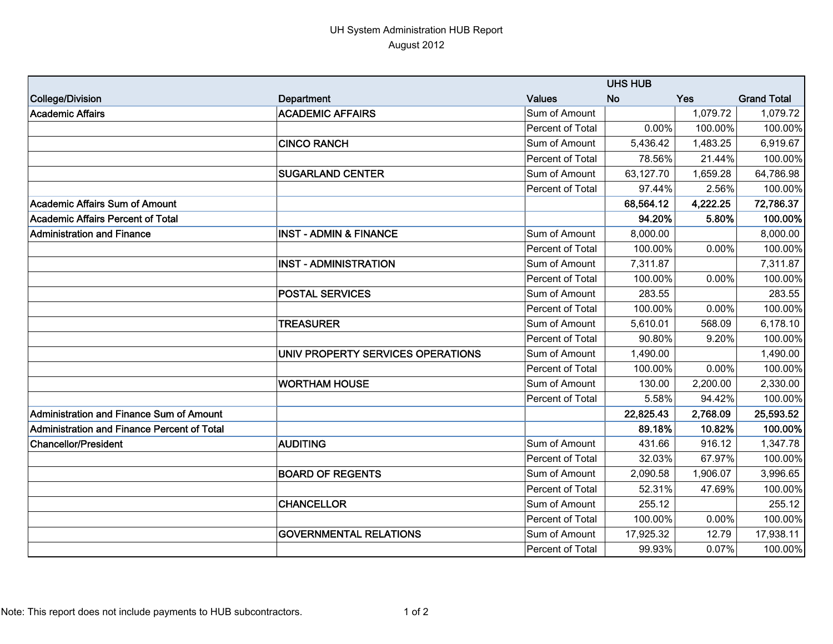## UH System Administration HUB Report August 2012

|                                             | <b>UHS HUB</b>                    |                  |           |            |                    |  |
|---------------------------------------------|-----------------------------------|------------------|-----------|------------|--------------------|--|
| College/Division                            | <b>Department</b>                 | <b>Values</b>    | <b>No</b> | <b>Yes</b> | <b>Grand Total</b> |  |
| <b>Academic Affairs</b>                     | <b>ACADEMIC AFFAIRS</b>           | Sum of Amount    |           | 1,079.72   | 1,079.72           |  |
|                                             |                                   | Percent of Total | 0.00%     | 100.00%    | 100.00%            |  |
|                                             | <b>CINCO RANCH</b>                | Sum of Amount    | 5,436.42  | 1,483.25   | 6,919.67           |  |
|                                             |                                   | Percent of Total | 78.56%    | 21.44%     | 100.00%            |  |
|                                             | <b>SUGARLAND CENTER</b>           | Sum of Amount    | 63,127.70 | 1,659.28   | 64,786.98          |  |
|                                             |                                   | Percent of Total | 97.44%    | 2.56%      | 100.00%            |  |
| Academic Affairs Sum of Amount              |                                   |                  | 68,564.12 | 4,222.25   | 72,786.37          |  |
| Academic Affairs Percent of Total           |                                   |                  | 94.20%    | 5.80%      | 100.00%            |  |
| Administration and Finance                  | <b>INST - ADMIN &amp; FINANCE</b> | Sum of Amount    | 8,000.00  |            | 8,000.00           |  |
|                                             |                                   | Percent of Total | 100.00%   | 0.00%      | 100.00%            |  |
|                                             | <b>INST - ADMINISTRATION</b>      | Sum of Amount    | 7,311.87  |            | 7,311.87           |  |
|                                             |                                   | Percent of Total | 100.00%   | 0.00%      | 100.00%            |  |
|                                             | <b>POSTAL SERVICES</b>            | Sum of Amount    | 283.55    |            | 283.55             |  |
|                                             |                                   | Percent of Total | 100.00%   | 0.00%      | 100.00%            |  |
|                                             | <b>TREASURER</b>                  | Sum of Amount    | 5,610.01  | 568.09     | 6,178.10           |  |
|                                             |                                   | Percent of Total | 90.80%    | 9.20%      | 100.00%            |  |
|                                             | UNIV PROPERTY SERVICES OPERATIONS | Sum of Amount    | 1,490.00  |            | 1,490.00           |  |
|                                             |                                   | Percent of Total | 100.00%   | 0.00%      | 100.00%            |  |
|                                             | <b>WORTHAM HOUSE</b>              | Sum of Amount    | 130.00    | 2,200.00   | 2,330.00           |  |
|                                             |                                   | Percent of Total | 5.58%     | 94.42%     | 100.00%            |  |
| Administration and Finance Sum of Amount    |                                   |                  | 22,825.43 | 2,768.09   | 25,593.52          |  |
| Administration and Finance Percent of Total |                                   |                  | 89.18%    | 10.82%     | 100.00%            |  |
| <b>Chancellor/President</b>                 | <b>AUDITING</b>                   | Sum of Amount    | 431.66    | 916.12     | 1,347.78           |  |
|                                             |                                   | Percent of Total | 32.03%    | 67.97%     | 100.00%            |  |
|                                             | <b>BOARD OF REGENTS</b>           | Sum of Amount    | 2,090.58  | 1,906.07   | 3,996.65           |  |
|                                             |                                   | Percent of Total | 52.31%    | 47.69%     | 100.00%            |  |
|                                             | <b>CHANCELLOR</b>                 | Sum of Amount    | 255.12    |            | 255.12             |  |
|                                             |                                   | Percent of Total | 100.00%   | 0.00%      | 100.00%            |  |
|                                             | <b>GOVERNMENTAL RELATIONS</b>     | Sum of Amount    | 17,925.32 | 12.79      | 17,938.11          |  |
|                                             |                                   | Percent of Total | 99.93%    | 0.07%      | 100.00%            |  |